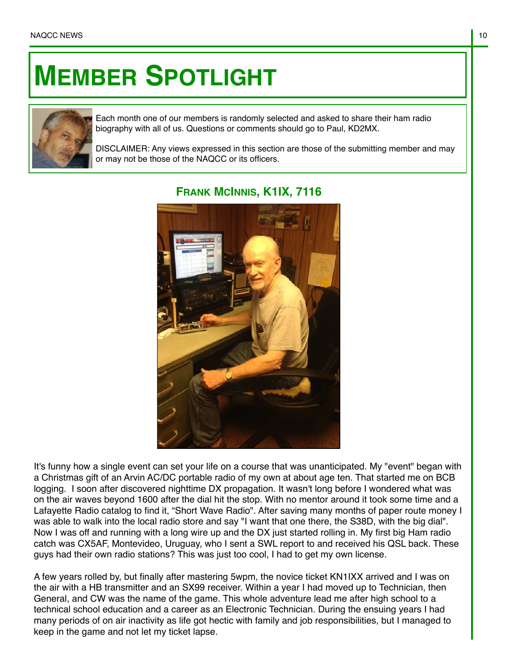## **MEMBER SPOTLIGHT**



Each month one of our members is randomly selected and asked to share their ham radio biography with all of us. Questions or comments should go to Paul, KD2MX.

DISCLAIMER: Any views expressed in this section are those of the submitting member and may or may not be those of the NAQCC or its officers.



## **FRANK MCINNIS, K1IX, 7116**

It's funny how a single event can set your life on a course that was unanticipated. My "event" began with a Christmas gift of an Arvin AC/DC portable radio of my own at about age ten. That started me on BCB logging. I soon after discovered nighttime DX propagation. It wasn't long before I wondered what was on the air waves beyond 1600 after the dial hit the stop. With no mentor around it took some time and a Lafayette Radio catalog to find it, "Short Wave Radio". After saving many months of paper route money I was able to walk into the local radio store and say "I want that one there, the S38D, with the big dial". Now I was off and running with a long wire up and the DX just started rolling in. My first big Ham radio catch was CX5AF, Montevideo, Uruguay, who I sent a SWL report to and received his QSL back. These guys had their own radio stations? This was just too cool, I had to get my own license.

A few years rolled by, but finally after mastering 5wpm, the novice ticket KN1IXX arrived and I was on the air with a HB transmitter and an SX99 receiver. Within a year I had moved up to Technician, then General, and CW was the name of the game. This whole adventure lead me after high school to a technical school education and a career as an Electronic Technician. During the ensuing years I had many periods of on air inactivity as life got hectic with family and job responsibilities, but I managed to keep in the game and not let my ticket lapse.